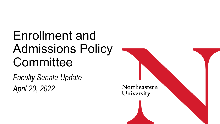# Enrollment and Admissions Policy **Committee**

*Faculty Senate Update April 20, 2022*

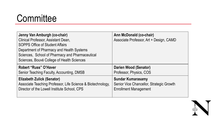#### **Committee**

| Jenny Van Amburgh (co-chair)<br>Clinical Professor, Assistant Dean,<br><b>SOPPS Office of Student Affairs</b><br>Department of Pharmacy and Health Systems<br>Sciences, School of Pharmacy and Pharmaceutical<br>Sciences, Bouvé College of Health Sciences | Ann McDonald (co-chair)<br>Associate Professor, Art + Design, CAMD |
|-------------------------------------------------------------------------------------------------------------------------------------------------------------------------------------------------------------------------------------------------------------|--------------------------------------------------------------------|
| Robert "Russ" O'Haver                                                                                                                                                                                                                                       | Darien Wood (Senator)                                              |
| Senior Teaching Faculty, Accounting, DMSB                                                                                                                                                                                                                   | Professor, Physics, COS                                            |
| Elizabeth Zulick (Senator)                                                                                                                                                                                                                                  | <b>Sundar Kumarasamy</b>                                           |
| Associate Teaching Professor, Life Science & Biotechnology,                                                                                                                                                                                                 | Senior Vice Chancellor, Strategic Growth                           |
| Director of the Lowell Institute School, CPS                                                                                                                                                                                                                | <b>Enrollment Management</b>                                       |

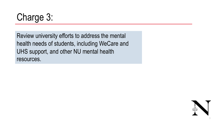Charge 3:

Review university efforts to address the mental health needs of students, including WeCare and UHS support, and other NU mental health resources.

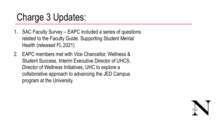#### Charge 3 Updates:

- 1. SAC Faculty Survey EAPC included a series of questions related to the Faculty Guide: Supporting Student Mental Health (released FL 2021)
- 2. EAPC members met with Vice Chancellor, Wellness & Student Success, Interim Executive Director of UHCS, Director of Wellness Initiatives, UHC to explore a collaborative approach to advancing the JED Campus program at the University.

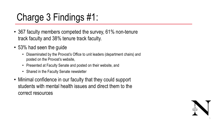## Charge 3 Findings #1:

- 367 faculty members competed the survey, 61% non-tenure track faculty and 38% tenure track faculty.
- 53% had seen the guide
	- Disseminated by the Provost's Office to unit leaders (department chairs) and posted on the Provost's website,
	- Presented at Faculty Senate and posted on their website, and
	- Shared in the Faculty Senate newsletter
- Minimal confidence in our faculty that they could support students with mental health issues and direct them to the correct resources

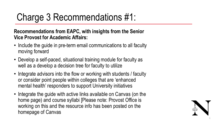### Charge 3 Recommendations #1:

#### **Recommendations from EAPC, with insights from the Senior Vice Provost for Academic Affairs:**

- Include the guide in pre-term email communications to all faculty moving forward
- Develop a self-paced, situational training module for faculty as well as a develop a decision tree for faculty to utilize
- Integrate advisors into the flow or working with students / faculty or consider point people within colleges that are 'enhanced mental health' responders to support University initiatives
- Integrate the guide with active links available on Canvas (on the home page) and course syllabi [Please note: Provost Office is working on this and the resource info has been posted on the homepage of Canvas

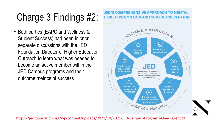# Charge 3 Findings #2:

• Both parties (EAPC and Wellness & Student Success) had been in prior separate discussions with the JED Foundation Director of Higher Education [Outreach to learn what was needed to](https://jedfoundation.org/wp-content/uploads/2021/10/2021-JED-Campus-Programs-One-Pager.pdf)  become an active member within the JED Campus programs and their outcome metrics of success

#### **JED'S COMPREI** HEALTH PROMOTIC



https://jedfoundation.org/wp-content/uploads/2021/10/2021-JED-Campu